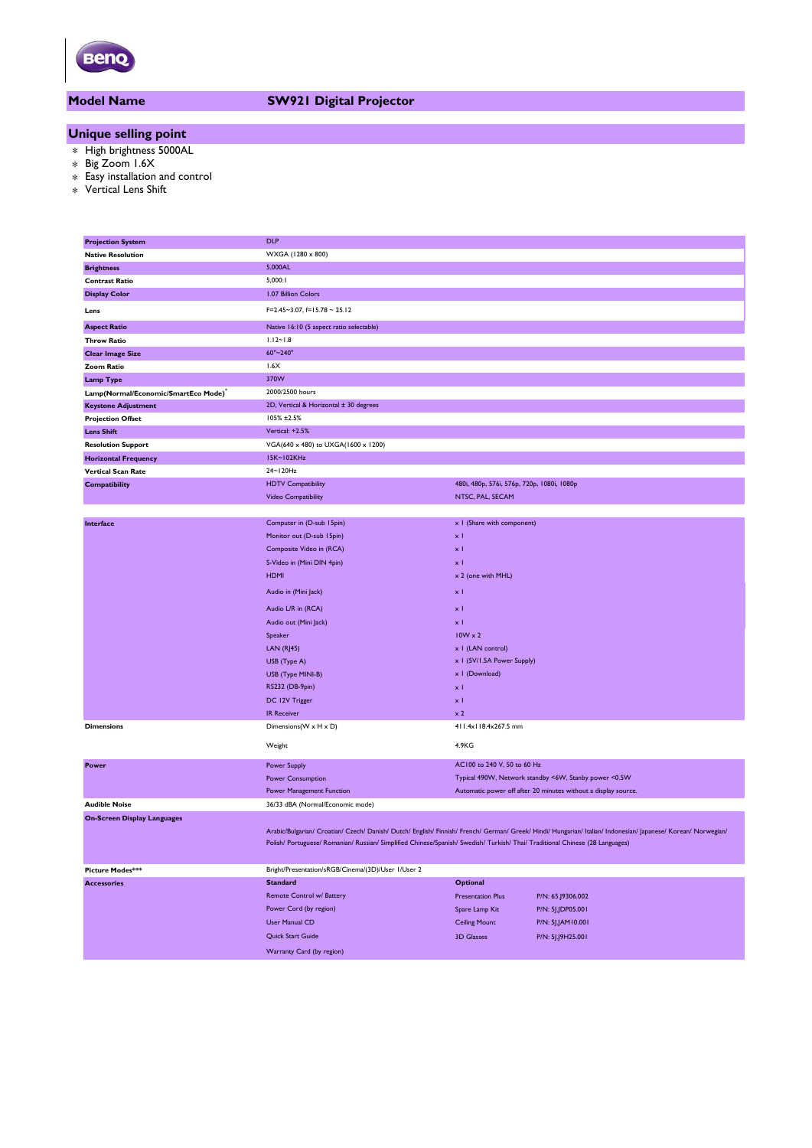

# **Model Name SW921 Digital Projector**

## **Unique selling point**

- \* High brightness 5000AL
- \* Big Zoom 1.6X
- \* Easy installation and control
- \* Vertical Lens Shift

| <b>Projection System</b>                         | <b>DLP</b>                                                                                                                    |                                                       |                                                                                                                                                                |  |
|--------------------------------------------------|-------------------------------------------------------------------------------------------------------------------------------|-------------------------------------------------------|----------------------------------------------------------------------------------------------------------------------------------------------------------------|--|
| <b>Native Resolution</b>                         | WXGA (1280 x 800)                                                                                                             |                                                       |                                                                                                                                                                |  |
| <b>Brightness</b>                                | 5,000AL                                                                                                                       |                                                       |                                                                                                                                                                |  |
| <b>Contrast Ratio</b>                            | 5,000:1                                                                                                                       |                                                       |                                                                                                                                                                |  |
| <b>Display Color</b>                             | 1.07 Billion Colors                                                                                                           |                                                       |                                                                                                                                                                |  |
| Lens                                             | $F=2.45-3.07, f=15.78-25.12$                                                                                                  |                                                       |                                                                                                                                                                |  |
| <b>Aspect Ratio</b>                              | Native 16:10 (5 aspect ratio selectable)                                                                                      |                                                       |                                                                                                                                                                |  |
| <b>Throw Ratio</b>                               | $1.12 - 1.8$                                                                                                                  |                                                       |                                                                                                                                                                |  |
| <b>Clear Image Size</b>                          | 60"~240"                                                                                                                      |                                                       |                                                                                                                                                                |  |
| <b>Zoom Ratio</b>                                | 1.6X                                                                                                                          |                                                       |                                                                                                                                                                |  |
| <b>Lamp Type</b>                                 | 370W                                                                                                                          |                                                       |                                                                                                                                                                |  |
| Lamp(Normal/Economic/SmartEco Mode) <sup>*</sup> | 2000/2500 hours                                                                                                               |                                                       |                                                                                                                                                                |  |
| <b>Keystone Adjustment</b>                       | 2D, Vertical & Horizontal ± 30 degrees                                                                                        |                                                       |                                                                                                                                                                |  |
| <b>Projection Offset</b>                         | 105% ±2.5%                                                                                                                    |                                                       |                                                                                                                                                                |  |
| <b>Lens Shift</b>                                | Vertical: +2.5%                                                                                                               |                                                       |                                                                                                                                                                |  |
| <b>Resolution Support</b>                        | VGA(640 x 480) to UXGA(1600 x 1200)                                                                                           |                                                       |                                                                                                                                                                |  |
| <b>Horizontal Frequency</b>                      | 15K~102KHz                                                                                                                    |                                                       |                                                                                                                                                                |  |
| <b>Vertical Scan Rate</b>                        | 24~120Hz                                                                                                                      |                                                       |                                                                                                                                                                |  |
| <b>Compatibility</b>                             | <b>HDTV Compatibility</b>                                                                                                     | 480i, 480p, 576i, 576p, 720p, 1080i, 1080p            |                                                                                                                                                                |  |
|                                                  | Video Compatibility                                                                                                           | NTSC, PAL, SECAM                                      |                                                                                                                                                                |  |
|                                                  |                                                                                                                               |                                                       |                                                                                                                                                                |  |
| Interface                                        | Computer in (D-sub 15pin)                                                                                                     | x I (Share with component)                            |                                                                                                                                                                |  |
|                                                  | Monitor out (D-sub 15pin)                                                                                                     | $\times$ 1                                            |                                                                                                                                                                |  |
|                                                  | Composite Video in (RCA)                                                                                                      | хI                                                    |                                                                                                                                                                |  |
|                                                  | S-Video in (Mini DIN 4pin)                                                                                                    | $\times$ 1                                            |                                                                                                                                                                |  |
|                                                  | <b>HDMI</b>                                                                                                                   | x 2 (one with MHL)                                    |                                                                                                                                                                |  |
|                                                  |                                                                                                                               |                                                       |                                                                                                                                                                |  |
|                                                  | Audio in (Mini Jack)                                                                                                          | x <sub>1</sub>                                        |                                                                                                                                                                |  |
|                                                  | Audio L/R in (RCA)                                                                                                            | $\times$ 1                                            |                                                                                                                                                                |  |
|                                                  | Audio out (Mini Jack)                                                                                                         | $\times$ 1                                            |                                                                                                                                                                |  |
|                                                  | Speaker                                                                                                                       | $10W \times 2$                                        |                                                                                                                                                                |  |
|                                                  | LAN(RJ45)                                                                                                                     | x   (LAN control)                                     |                                                                                                                                                                |  |
|                                                  | USB (Type A)                                                                                                                  | x 1 (5V/1.5A Power Supply)                            |                                                                                                                                                                |  |
|                                                  | USB (Type MINI-B)                                                                                                             | x I (Download)                                        |                                                                                                                                                                |  |
|                                                  | RS232 (DB-9pin)                                                                                                               | $\times$ 1                                            |                                                                                                                                                                |  |
|                                                  | DC 12V Trigger                                                                                                                | x <sub>1</sub>                                        |                                                                                                                                                                |  |
|                                                  | <b>IR Receiver</b>                                                                                                            | $\times 2$                                            |                                                                                                                                                                |  |
| <b>Dimensions</b>                                | Dimensions(W x H x D)                                                                                                         | 411.4x118.4x267.5 mm                                  |                                                                                                                                                                |  |
|                                                  | Weight                                                                                                                        | 4.9KG                                                 |                                                                                                                                                                |  |
| Power                                            | <b>Power Supply</b>                                                                                                           | AC100 to 240 V, 50 to 60 Hz                           |                                                                                                                                                                |  |
|                                                  | Power Consumption                                                                                                             | Typical 490W, Network standby <6W, Stanby power <0.5W |                                                                                                                                                                |  |
|                                                  | Power Management Function                                                                                                     |                                                       | Automatic power off after 20 minutes without a display source.                                                                                                 |  |
| <b>Audible Noise</b>                             | 36/33 dBA (Normal/Economic mode)                                                                                              |                                                       |                                                                                                                                                                |  |
| <b>On-Screen Display Languages</b>               |                                                                                                                               |                                                       |                                                                                                                                                                |  |
|                                                  |                                                                                                                               |                                                       | Arabic/Bulgarian/ Croatian/ Czech/ Danish/ Dutch/ English/ Finnish/ French/ German/ Greek/ Hindi/ Hungarian/ Italian/ Indonesian/ Japanese/ Korean/ Norwegian/ |  |
|                                                  | Polish/ Portuguese/ Romanian/ Russian/ Simplified Chinese/Spanish/ Swedish/ Turkish/ Thai/ Traditional Chinese (28 Languages) |                                                       |                                                                                                                                                                |  |
|                                                  |                                                                                                                               |                                                       |                                                                                                                                                                |  |
| Picture Modes***                                 | Bright/Presentation/sRGB/Cinema/(3D)/User 1/User 2                                                                            |                                                       |                                                                                                                                                                |  |
| <b>Accessories</b>                               | <b>Standard</b>                                                                                                               | Optional                                              |                                                                                                                                                                |  |
|                                                  | Remote Control w/ Battery                                                                                                     | <b>Presentation Plus</b>                              | P/N: 65.J9306.002                                                                                                                                              |  |
|                                                  | Power Cord (by region)                                                                                                        | Spare Lamp Kit                                        | P/N: 5J.JDP05.001                                                                                                                                              |  |
|                                                  | <b>User Manual CD</b>                                                                                                         | <b>Ceiling Mount</b>                                  | P/N: 5J.JAM10.001                                                                                                                                              |  |
|                                                  | Quick Start Guide                                                                                                             |                                                       |                                                                                                                                                                |  |
|                                                  |                                                                                                                               | <b>3D Glasses</b>                                     | P/N: 5J.J9H25.001                                                                                                                                              |  |
|                                                  | Warranty Card (by region)                                                                                                     |                                                       |                                                                                                                                                                |  |